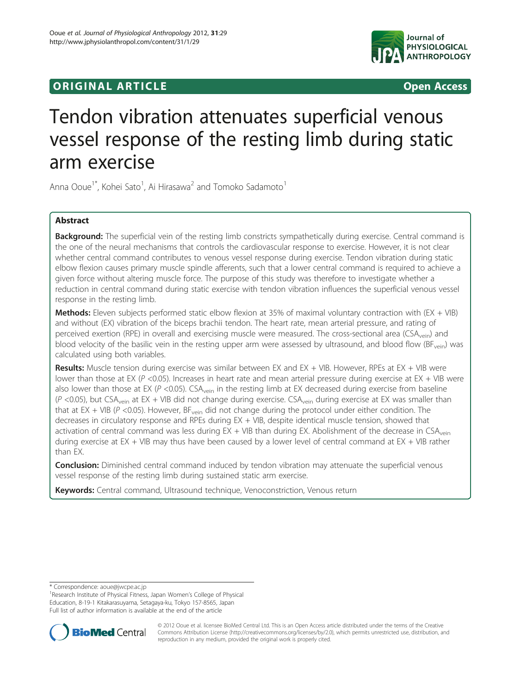## **ORIGINAL ARTICLE CONSERVERSITY OF ACCESS**



# Tendon vibration attenuates superficial venous vessel response of the resting limb during static arm exercise

Anna Ooue<sup>1\*</sup>, Kohei Sato<sup>1</sup>, Ai Hirasawa<sup>2</sup> and Tomoko Sadamoto<sup>1</sup>

### Abstract

Background: The superficial vein of the resting limb constricts sympathetically during exercise. Central command is the one of the neural mechanisms that controls the cardiovascular response to exercise. However, it is not clear whether central command contributes to venous vessel response during exercise. Tendon vibration during static elbow flexion causes primary muscle spindle afferents, such that a lower central command is required to achieve a given force without altering muscle force. The purpose of this study was therefore to investigate whether a reduction in central command during static exercise with tendon vibration influences the superficial venous vessel response in the resting limb.

Methods: Eleven subjects performed static elbow flexion at 35% of maximal voluntary contraction with (EX + VIB) and without (EX) vibration of the biceps brachii tendon. The heart rate, mean arterial pressure, and rating of perceived exertion (RPE) in overall and exercising muscle were measured. The cross-sectional area (CSA<sub>vein</sub>) and blood velocity of the basilic vein in the resting upper arm were assessed by ultrasound, and blood flow (BF<sub>vein</sub>) was calculated using both variables.

**Results:** Muscle tension during exercise was similar between EX and EX + VIB. However, RPEs at EX + VIB were lower than those at EX (P <0.05). Increases in heart rate and mean arterial pressure during exercise at EX + VIB were also lower than those at EX (P < 0.05). CSA<sub>vein</sub> in the resting limb at EX decreased during exercise from baseline  $(P < 0.05)$ , but CSA<sub>vein</sub> at EX + VIB did not change during exercise. CSA<sub>vein</sub> during exercise at EX was smaller than that at  $EX + VIB (P < 0.05)$ . However,  $BF_{\text{vein}}$  did not change during the protocol under either condition. The decreases in circulatory response and RPEs during EX + VIB, despite identical muscle tension, showed that activation of central command was less during  $EX + VIB$  than during EX. Abolishment of the decrease in  $CSA<sub>vein</sub>$ during exercise at EX + VIB may thus have been caused by a lower level of central command at EX + VIB rather than EX.

**Conclusion:** Diminished central command induced by tendon vibration may attenuate the superficial venous vessel response of the resting limb during sustained static arm exercise.

Keywords: Central command, Ultrasound technique, Venoconstriction, Venous return

<sup>&</sup>lt;sup>1</sup> Research Institute of Physical Fitness, Japan Women's College of Physical Education, 8-19-1 Kitakarasuyama, Setagaya-ku, Tokyo 157-8565, Japan Full list of author information is available at the end of the article



© 2012 Ooue et al. licensee BioMed Central Ltd. This is an Open Access article distributed under the terms of the Creative Commons Attribution License [\(http://creativecommons.org/licenses/by/2.0\)](http://creativecommons.org/licenses/by/2.0), which permits unrestricted use, distribution, and reproduction in any medium, provided the original work is properly cited.

<sup>\*</sup> Correspondence: [aoue@jwcpe.ac.jp](mailto:aoue@jwcpe.ac.jp) <sup>1</sup>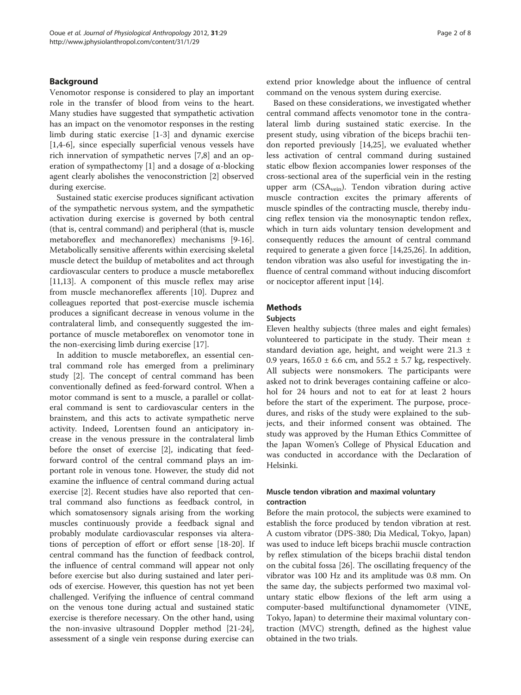#### Background

Venomotor response is considered to play an important role in the transfer of blood from veins to the heart. Many studies have suggested that sympathetic activation has an impact on the venomotor responses in the resting limb during static exercise [[1-3](#page-6-0)] and dynamic exercise [[1,4-6](#page-6-0)], since especially superficial venous vessels have rich innervation of sympathetic nerves [\[7,8](#page-6-0)] and an op-eration of sympathectomy [\[1](#page-6-0)] and a dosage of  $\alpha$ -blocking agent clearly abolishes the venoconstriction [[2\]](#page-6-0) observed during exercise.

Sustained static exercise produces significant activation of the sympathetic nervous system, and the sympathetic activation during exercise is governed by both central (that is, central command) and peripheral (that is, muscle metaboreflex and mechanoreflex) mechanisms [[9-16](#page-7-0)]. Metabolically sensitive afferents within exercising skeletal muscle detect the buildup of metabolites and act through cardiovascular centers to produce a muscle metaboreflex [[11,13\]](#page-7-0). A component of this muscle reflex may arise from muscle mechanoreflex afferents [\[10](#page-7-0)]. Duprez and colleagues reported that post-exercise muscle ischemia produces a significant decrease in venous volume in the contralateral limb, and consequently suggested the importance of muscle metaboreflex on venomotor tone in the non-exercising limb during exercise [[17\]](#page-7-0).

In addition to muscle metaboreflex, an essential central command role has emerged from a preliminary study [[2\]](#page-6-0). The concept of central command has been conventionally defined as feed-forward control. When a motor command is sent to a muscle, a parallel or collateral command is sent to cardiovascular centers in the brainstem, and this acts to activate sympathetic nerve activity. Indeed, Lorentsen found an anticipatory increase in the venous pressure in the contralateral limb before the onset of exercise [\[2](#page-6-0)], indicating that feedforward control of the central command plays an important role in venous tone. However, the study did not examine the influence of central command during actual exercise [[2\]](#page-6-0). Recent studies have also reported that central command also functions as feedback control, in which somatosensory signals arising from the working muscles continuously provide a feedback signal and probably modulate cardiovascular responses via alterations of perception of effort or effort sense [\[18](#page-7-0)-[20](#page-7-0)]. If central command has the function of feedback control, the influence of central command will appear not only before exercise but also during sustained and later periods of exercise. However, this question has not yet been challenged. Verifying the influence of central command on the venous tone during actual and sustained static exercise is therefore necessary. On the other hand, using the non-invasive ultrasound Doppler method [\[21-24](#page-7-0)], assessment of a single vein response during exercise can extend prior knowledge about the influence of central command on the venous system during exercise.

Based on these considerations, we investigated whether central command affects venomotor tone in the contralateral limb during sustained static exercise. In the present study, using vibration of the biceps brachii tendon reported previously [\[14,25](#page-7-0)], we evaluated whether less activation of central command during sustained static elbow flexion accompanies lower responses of the cross-sectional area of the superficial vein in the resting upper arm  $(CSA_{\text{vein}})$ . Tendon vibration during active muscle contraction excites the primary afferents of muscle spindles of the contracting muscle, thereby inducing reflex tension via the monosynaptic tendon reflex, which in turn aids voluntary tension development and consequently reduces the amount of central command required to generate a given force [\[14,25,26\]](#page-7-0). In addition, tendon vibration was also useful for investigating the influence of central command without inducing discomfort or nociceptor afferent input [[14](#page-7-0)].

#### **Methods**

#### Subjects

Eleven healthy subjects (three males and eight females) volunteered to participate in the study. Their mean ± standard deviation age, height, and weight were  $21.3 \pm$ 0.9 years,  $165.0 \pm 6.6$  cm, and  $55.2 \pm 5.7$  kg, respectively. All subjects were nonsmokers. The participants were asked not to drink beverages containing caffeine or alcohol for 24 hours and not to eat for at least 2 hours before the start of the experiment. The purpose, procedures, and risks of the study were explained to the subjects, and their informed consent was obtained. The study was approved by the Human Ethics Committee of the Japan Women's College of Physical Education and was conducted in accordance with the Declaration of Helsinki.

#### Muscle tendon vibration and maximal voluntary contraction

Before the main protocol, the subjects were examined to establish the force produced by tendon vibration at rest. A custom vibrator (DPS-380; Dia Medical, Tokyo, Japan) was used to induce left biceps brachii muscle contraction by reflex stimulation of the biceps brachii distal tendon on the cubital fossa [[26](#page-7-0)]. The oscillating frequency of the vibrator was 100 Hz and its amplitude was 0.8 mm. On the same day, the subjects performed two maximal voluntary static elbow flexions of the left arm using a computer-based multifunctional dynamometer (VINE, Tokyo, Japan) to determine their maximal voluntary contraction (MVC) strength, defined as the highest value obtained in the two trials.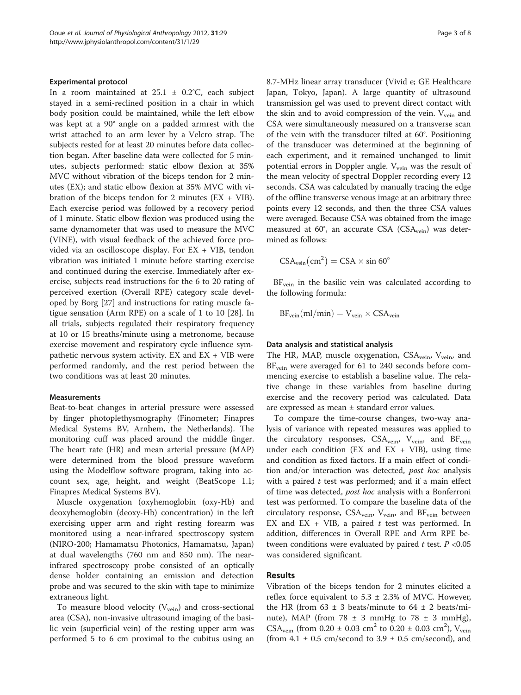#### Experimental protocol

In a room maintained at  $25.1 \pm 0.2$ °C, each subject stayed in a semi-reclined position in a chair in which body position could be maintained, while the left elbow was kept at a 90° angle on a padded armrest with the wrist attached to an arm lever by a Velcro strap. The subjects rested for at least 20 minutes before data collection began. After baseline data were collected for 5 minutes, subjects performed: static elbow flexion at 35% MVC without vibration of the biceps tendon for 2 minutes (EX); and static elbow flexion at 35% MVC with vibration of the biceps tendon for 2 minutes  $(EX + VIB)$ . Each exercise period was followed by a recovery period of 1 minute. Static elbow flexion was produced using the same dynamometer that was used to measure the MVC (VINE), with visual feedback of the achieved force provided via an oscilloscope display. For EX + VIB, tendon vibration was initiated 1 minute before starting exercise and continued during the exercise. Immediately after exercise, subjects read instructions for the 6 to 20 rating of perceived exertion (Overall RPE) category scale developed by Borg [[27\]](#page-7-0) and instructions for rating muscle fatigue sensation (Arm RPE) on a scale of 1 to 10 [\[28](#page-7-0)]. In all trials, subjects regulated their respiratory frequency at 10 or 15 breaths/minute using a metronome, because exercise movement and respiratory cycle influence sympathetic nervous system activity. EX and EX + VIB were performed randomly, and the rest period between the two conditions was at least 20 minutes.

#### Measurements

Beat-to-beat changes in arterial pressure were assessed by finger photoplethysmography (Finometer; Finapres Medical Systems BV, Arnhem, the Netherlands). The monitoring cuff was placed around the middle finger. The heart rate (HR) and mean arterial pressure (MAP) were determined from the blood pressure waveform using the Modelflow software program, taking into account sex, age, height, and weight (BeatScope 1.1; Finapres Medical Systems BV).

Muscle oxygenation (oxyhemoglobin (oxy-Hb) and deoxyhemoglobin (deoxy-Hb) concentration) in the left exercising upper arm and right resting forearm was monitored using a near-infrared spectroscopy system (NIRO-200; Hamamatsu Photonics, Hamamatsu, Japan) at dual wavelengths (760 nm and 850 nm). The nearinfrared spectroscopy probe consisted of an optically dense holder containing an emission and detection probe and was secured to the skin with tape to minimize extraneous light.

To measure blood velocity  $(V_{\text{vein}})$  and cross-sectional area (CSA), non-invasive ultrasound imaging of the basilic vein (superficial vein) of the resting upper arm was performed 5 to 6 cm proximal to the cubitus using an

8.7-MHz linear array transducer (Vivid e; GE Healthcare Japan, Tokyo, Japan). A large quantity of ultrasound transmission gel was used to prevent direct contact with the skin and to avoid compression of the vein.  $V_{\text{vein}}$  and CSA were simultaneously measured on a transverse scan of the vein with the transducer tilted at 60°. Positioning of the transducer was determined at the beginning of each experiment, and it remained unchanged to limit potential errors in Doppler angle.  $V_{\text{vein}}$  was the result of the mean velocity of spectral Doppler recording every 12 seconds. CSA was calculated by manually tracing the edge of the offline transverse venous image at an arbitrary three points every 12 seconds, and then the three CSA values were averaged. Because CSA was obtained from the image measured at 60°, an accurate CSA (CSA<sub>vein</sub>) was determined as follows:

$$
CSA_{vein}(cm^2) = CSA \times \sin 60^\circ
$$

BF<sub>vein</sub> in the basilic vein was calculated according to the following formula:

$$
BF_{vein}(ml/min) = V_{vein} \times CSA_{vein}
$$

#### Data analysis and statistical analysis

The HR, MAP, muscle oxygenation, CSA<sub>vein</sub>, V<sub>vein</sub>, and  $BF_{\text{vein}}$  were averaged for 61 to 240 seconds before commencing exercise to establish a baseline value. The relative change in these variables from baseline during exercise and the recovery period was calculated. Data are expressed as mean ± standard error values.

To compare the time-course changes, two-way analysis of variance with repeated measures was applied to the circulatory responses,  $CSA<sub>vein</sub>$ ,  $V<sub>vein</sub>$ , and  $BF<sub>vein</sub>$ under each condition (EX and  $EX + VIB$ ), using time and condition as fixed factors. If a main effect of condition and/or interaction was detected, post hoc analysis with a paired  $t$  test was performed; and if a main effect of time was detected, post hoc analysis with a Bonferroni test was performed. To compare the baseline data of the circulatory response,  $CSA_{\text{vein}}$ ,  $V_{\text{vein}}$ , and  $BF_{\text{vein}}$  between EX and EX + VIB, a paired  $t$  test was performed. In addition, differences in Overall RPE and Arm RPE between conditions were evaluated by paired  $t$  test.  $P < 0.05$ was considered significant.

#### Results

Vibration of the biceps tendon for 2 minutes elicited a reflex force equivalent to  $5.3 \pm 2.3\%$  of MVC. However, the HR (from  $63 \pm 3$  beats/minute to  $64 \pm 2$  beats/minute), MAP (from  $78 \pm 3$  mmHg to  $78 \pm 3$  mmHg), CSA<sub>vein</sub> (from 0.20  $\pm$  0.03 cm<sup>2</sup> to 0.20  $\pm$  0.03 cm<sup>2</sup>), V<sub>vein</sub> (from  $4.1 \pm 0.5$  cm/second to  $3.9 \pm 0.5$  cm/second), and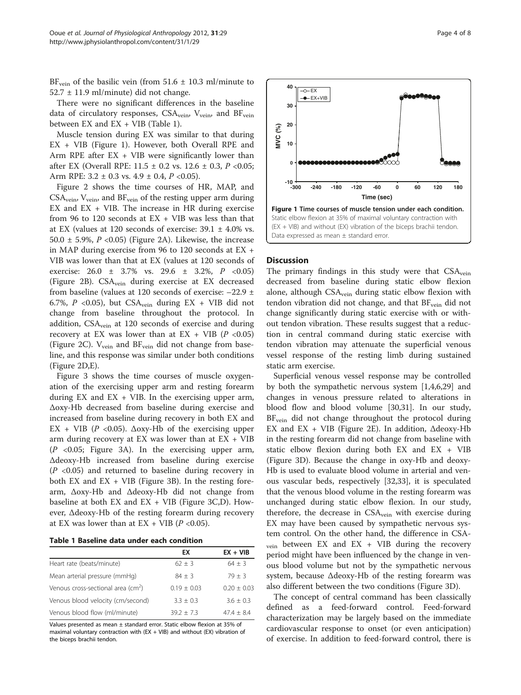<span id="page-3-0"></span>BF<sub>vein</sub> of the basilic vein (from 51.6  $\pm$  10.3 ml/minute to  $52.7 \pm 11.9$  ml/minute) did not change.

There were no significant differences in the baseline data of circulatory responses,  $CSA<sub>vein</sub>$ ,  $V<sub>vein</sub>$ , and  $BF<sub>vein</sub>$ between  $EX$  and  $EX + VIB$  (Table 1).

Muscle tension during EX was similar to that during EX + VIB (Figure 1). However, both Overall RPE and Arm RPE after  $EX + VIB$  were significantly lower than after EX (Overall RPE:  $11.5 \pm 0.2$  vs.  $12.6 \pm 0.3$ ,  $P < 0.05$ ; Arm RPE:  $3.2 \pm 0.3$  vs.  $4.9 \pm 0.4$ ,  $P < 0.05$ ).

Figure [2](#page-4-0) shows the time courses of HR, MAP, and  $CSA_{\rm vein}$ ,  $V_{\rm vein}$ , and  $BF_{\rm vein}$  of the resting upper arm during EX and  $EX + VIB$ . The increase in HR during exercise from 96 to 120 seconds at EX + VIB was less than that at EX (values at 120 seconds of exercise:  $39.1 \pm 4.0\%$  vs. 50.0  $\pm$  5.9%, P <0.05) (Figure [2](#page-4-0)A). Likewise, the increase in MAP during exercise from 96 to 120 seconds at EX + VIB was lower than that at EX (values at 120 seconds of exercise: 26.0 ± 3.7% vs. 29.6 ± 3.2%, P <0.05) (Figure [2](#page-4-0)B). CSAvein during exercise at EX decreased from baseline (values at 120 seconds of exercise: –22.9 ± 6.7%, P < 0.05), but  $CSA<sub>vein</sub>$  during  $EX + VIB$  did not change from baseline throughout the protocol. In addition, CSA<sub>vein</sub> at 120 seconds of exercise and during recovery at EX was lower than at EX + VIB ( $P$  <0.05) (Figure [2](#page-4-0)C).  $V_{\text{vein}}$  and  $BF_{\text{vein}}$  did not change from baseline, and this response was similar under both conditions (Figure [2](#page-4-0)D,E).

Figure [3](#page-5-0) shows the time courses of muscle oxygenation of the exercising upper arm and resting forearm during  $EX$  and  $EX + VIB$ . In the exercising upper arm, Δoxy-Hb decreased from baseline during exercise and increased from baseline during recovery in both EX and EX + VIB ( $P \le 0.05$ ).  $\Delta$ oxy-Hb of the exercising upper arm during recovery at EX was lower than at  $EX + VIB$  $(P \le 0.05$ ; Figure [3](#page-5-0)A). In the exercising upper arm, Δdeoxy-Hb increased from baseline during exercise  $(P \le 0.05)$  and returned to baseline during recovery in both EX and  $EX + VIB$  (Figure [3B](#page-5-0)). In the resting forearm, Δoxy-Hb and Δdeoxy-Hb did not change from baseline at both EX and  $EX + VIB$  (Figure [3](#page-5-0)C,D). However, Δdeoxy-Hb of the resting forearm during recovery at EX was lower than at EX + VIB ( $P$  <0.05).

Table 1 Baseline data under each condition

|                                                | ЕX            | $EX + VIB$    |
|------------------------------------------------|---------------|---------------|
| Heart rate (beats/minute)                      | $62 + 3$      | $64 + 3$      |
| Mean arterial pressure (mmHg)                  | $84 + 3$      | $79 + 3$      |
| Venous cross-sectional area (cm <sup>2</sup> ) | $0.19 + 0.03$ | $0.20 + 0.03$ |
| Venous blood velocity (cm/second)              | $3.3 + 0.3$   | $3.6 + 0.3$   |
| Venous blood flow (ml/minute)                  | $39.2 + 7.3$  | $47.4 + 8.4$  |

Values presented as mean ± standard error. Static elbow flexion at 35% of maximal voluntary contraction with  $(EX + VIB)$  and without  $(EX)$  vibration of the biceps brachii tendon.



#### **Discussion**

The primary findings in this study were that CSA<sub>vein</sub> decreased from baseline during static elbow flexion alone, although CSA<sub>vein</sub> during static elbow flexion with tendon vibration did not change, and that  $BF_{\text{vein}}$  did not change significantly during static exercise with or without tendon vibration. These results suggest that a reduction in central command during static exercise with tendon vibration may attenuate the superficial venous vessel response of the resting limb during sustained static arm exercise.

Superficial venous vessel response may be controlled by both the sympathetic nervous system [[1,4,6](#page-6-0)[,29\]](#page-7-0) and changes in venous pressure related to alterations in blood flow and blood volume [[30](#page-7-0),[31](#page-7-0)]. In our study, BF<sub>vein</sub> did not change throughout the protocol during EX and EX + VIB (Figure [2](#page-4-0)E). In addition, Δdeoxy-Hb in the resting forearm did not change from baseline with static elbow flexion during both EX and EX + VIB (Figure [3D](#page-5-0)). Because the change in oxy-Hb and deoxy-Hb is used to evaluate blood volume in arterial and venous vascular beds, respectively [\[32,33](#page-7-0)], it is speculated that the venous blood volume in the resting forearm was unchanged during static elbow flexion. In our study, therefore, the decrease in  $CSA_{\rm vein}$  with exercise during EX may have been caused by sympathetic nervous system control. On the other hand, the difference in CSA- $_{\text{vein}}$  between EX and EX + VIB during the recovery period might have been influenced by the change in venous blood volume but not by the sympathetic nervous system, because Δdeoxy-Hb of the resting forearm was also different between the two conditions (Figure [3D](#page-5-0)).

The concept of central command has been classically defined as a feed-forward control. Feed-forward characterization may be largely based on the immediate cardiovascular response to onset (or even anticipation) of exercise. In addition to feed-forward control, there is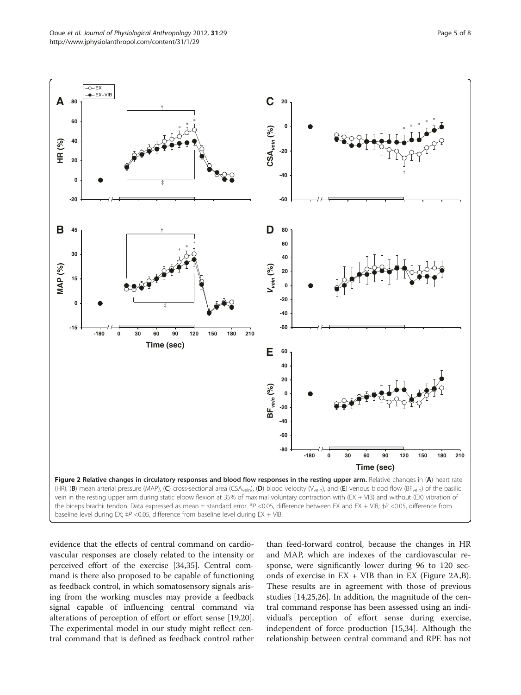<span id="page-4-0"></span>

evidence that the effects of central command on cardiovascular responses are closely related to the intensity or perceived effort of the exercise [\[34,35\]](#page-7-0). Central command is there also proposed to be capable of functioning as feedback control, in which somatosensory signals arising from the working muscles may provide a feedback signal capable of influencing central command via alterations of perception of effort or effort sense [\[19,20](#page-7-0)]. The experimental model in our study might reflect central command that is defined as feedback control rather

than feed-forward control, because the changes in HR and MAP, which are indexes of the cardiovascular response, were significantly lower during 96 to 120 seconds of exercise in  $EX + VIB$  than in  $EX$  (Figure 2A,B). These results are in agreement with those of previous studies [\[14,25,26\]](#page-7-0). In addition, the magnitude of the central command response has been assessed using an individual's perception of effort sense during exercise, independent of force production [[15,34\]](#page-7-0). Although the relationship between central command and RPE has not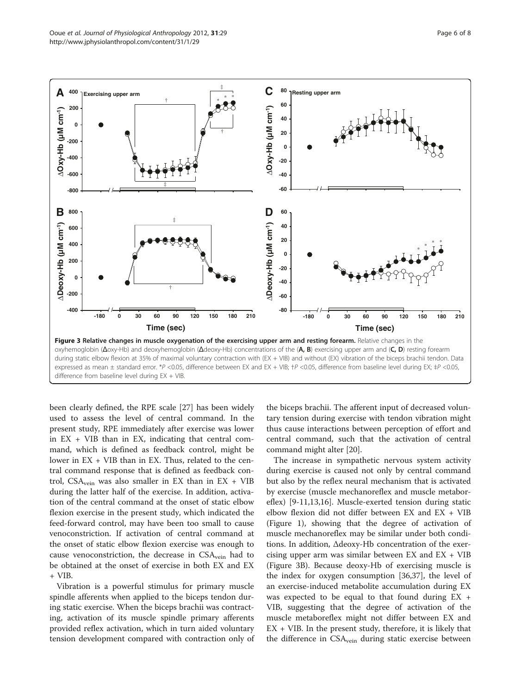<span id="page-5-0"></span>

been clearly defined, the RPE scale [\[27\]](#page-7-0) has been widely used to assess the level of central command. In the present study, RPE immediately after exercise was lower in  $EX + VIB$  than in  $EX$ , indicating that central command, which is defined as feedback control, might be lower in  $EX + VIB$  than in EX. Thus, related to the central command response that is defined as feedback control, CSA<sub>vein</sub> was also smaller in EX than in EX + VIB during the latter half of the exercise. In addition, activation of the central command at the onset of static elbow flexion exercise in the present study, which indicated the feed-forward control, may have been too small to cause venoconstriction. If activation of central command at the onset of static elbow flexion exercise was enough to cause venoconstriction, the decrease in  $CSA<sub>vein</sub>$  had to be obtained at the onset of exercise in both EX and EX + VIB.

Vibration is a powerful stimulus for primary muscle spindle afferents when applied to the biceps tendon during static exercise. When the biceps brachii was contracting, activation of its muscle spindle primary afferents provided reflex activation, which in turn aided voluntary tension development compared with contraction only of the biceps brachii. The afferent input of decreased voluntary tension during exercise with tendon vibration might thus cause interactions between perception of effort and central command, such that the activation of central command might alter [[20\]](#page-7-0).

The increase in sympathetic nervous system activity during exercise is caused not only by central command but also by the reflex neural mechanism that is activated by exercise (muscle mechanoreflex and muscle metaboreflex) [[9-11,13,16](#page-7-0)]. Muscle-exerted tension during static elbow flexion did not differ between  $EX$  and  $EX + VIB$ (Figure [1\)](#page-3-0), showing that the degree of activation of muscle mechanoreflex may be similar under both conditions. In addition, Δdeoxy-Hb concentration of the exercising upper arm was similar between  $EX$  and  $EX + VIB$ (Figure 3B). Because deoxy-Hb of exercising muscle is the index for oxygen consumption [\[36,37\]](#page-7-0), the level of an exercise-induced metabolite accumulation during EX was expected to be equal to that found during EX + VIB, suggesting that the degree of activation of the muscle metaboreflex might not differ between EX and  $EX + VIB$ . In the present study, therefore, it is likely that the difference in CSA<sub>vein</sub> during static exercise between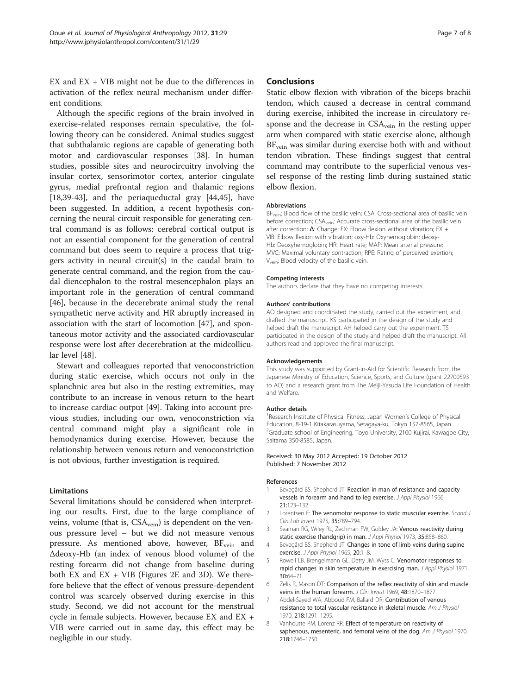<span id="page-6-0"></span> $EX$  and  $EX$  + VIB might not be due to the differences in activation of the reflex neural mechanism under different conditions.

Although the specific regions of the brain involved in exercise-related responses remain speculative, the following theory can be considered. Animal studies suggest that subthalamic regions are capable of generating both motor and cardiovascular responses [[38\]](#page-7-0). In human studies, possible sites and neurocircuitry involving the insular cortex, sensorimotor cortex, anterior cingulate gyrus, medial prefrontal region and thalamic regions [[18,39-43\]](#page-7-0), and the periaqueductal gray [[44,45\]](#page-7-0), have been suggested. In addition, a recent hypothesis concerning the neural circuit responsible for generating central command is as follows: cerebral cortical output is not an essential component for the generation of central command but does seem to require a process that triggers activity in neural circuit(s) in the caudal brain to generate central command, and the region from the caudal diencephalon to the rostral mesencephalon plays an important role in the generation of central command [[46\]](#page-7-0), because in the decerebrate animal study the renal sympathetic nerve activity and HR abruptly increased in association with the start of locomotion [\[47\]](#page-7-0), and spontaneous motor activity and the associated cardiovascular response were lost after decerebration at the midcollicular level [[48\]](#page-7-0).

Stewart and colleagues reported that venoconstriction during static exercise, which occurs not only in the splanchnic area but also in the resting extremities, may contribute to an increase in venous return to the heart to increase cardiac output [\[49\]](#page-7-0). Taking into account previous studies, including our own, venoconstriction via central command might play a significant role in hemodynamics during exercise. However, because the relationship between venous return and venoconstriction is not obvious, further investigation is required.

#### Limitations

Several limitations should be considered when interpreting our results. First, due to the large compliance of veins, volume (that is, CSA<sub>vein</sub>) is dependent on the venous pressure level – but we did not measure venous pressure. As mentioned above, however,  $BF_{\text{vein}}$  and Δdeoxy-Hb (an index of venous blood volume) of the resting forearm did not change from baseline during both EX and EX  $+$  VIB (Figures [2](#page-4-0)E and [3](#page-5-0)D). We therefore believe that the effect of venous pressure-dependent control was scarcely observed during exercise in this study. Second, we did not account for the menstrual cycle in female subjects. However, because EX and EX + VIB were carried out in same day, this effect may be negligible in our study.

#### Conclusions

Static elbow flexion with vibration of the biceps brachii tendon, which caused a decrease in central command during exercise, inhibited the increase in circulatory response and the decrease in  $CSA<sub>vein</sub>$  in the resting upper arm when compared with static exercise alone, although BF<sub>vein</sub> was similar during exercise both with and without tendon vibration. These findings suggest that central command may contribute to the superficial venous vessel response of the resting limb during sustained static elbow flexion.

#### **Abbreviations**

BF<sub>vein</sub>: Blood flow of the basilic vein; CSA: Cross-sectional area of basilic vein before correction; CSA<sub>vein</sub>: Accurate cross-sectional area of the basilic vein after correction:  $\Delta$ : Change: EX: Elbow flexion without vibration: EX + VIB: Elbow flexion with vibration; oxy-Hb: Oxyhemoglobin; deoxy-Hb: Deoxyhemoglobin; HR: Heart rate; MAP: Mean arterial pressure; MVC: Maximal voluntary contraction; RPE: Rating of perceived exertion; V<sub>vein</sub>: Blood velocity of the basilic vein.

#### Competing interests

The authors declare that they have no competing interests.

#### Authors' contributions

AO designed and coordinated the study, carried out the experiment, and drafted the manuscript. KS participated in the design of the study and helped draft the manuscript. AH helped carry out the experiment. TS participated in the design of the study and helped draft the manuscript. All authors read and approved the final manuscript.

#### Acknowledgements

This study was supported by Grant-in-Aid for Scientific Research from the Japanese Ministry of Education, Science, Sports, and Culture (grant 22700593 to AO) and a research grant from The Meiji-Yasuda Life Foundation of Health and Welfare.

#### Author details

<sup>1</sup> Research Institute of Physical Fitness, Japan Women's College of Physical Education, 8-19-1 Kitakarasuyama, Setagaya-ku, Tokyo 157-8565, Japan. <sup>2</sup>Graduate school of Engineering, Toyo University, 2100 Kujirai, Kawagoe City, Saitama 350-8585, Japan.

Received: 30 May 2012 Accepted: 19 October 2012 Published: 7 November 2012

#### References

- Bevegård BS, Shepherd JT: Reaction in man of resistance and capacity vessels in forearm and hand to leg exercise. J Appl Physiol 1966, 21:123–132.
- 2. Lorentsen E: The venomotor response to static muscular exercise. Scand J Clin Lab Invest 1975, 35:789–794.
- 3. Seaman RG, Wiley RL, Zechman FW, Goldey JA: Venous reactivity during static exercise (handgrip) in man. J Appl Physiol 1973, 35:858-860.
- 4. Bevegård BS, Shepherd JT: Changes in tone of limb veins during supine exercise. J Appl Physiol 1965, 20:1–8.
- 5. Rowell LB, Brengelmann GL, Detry JM, Wyss C: Venomotor responses to rapid changes in skin temperature in exercising man. J Appl Physiol 1971, 30:64–71.
- 6. Zelis R, Mason DT: Comparison of the reflex reactivity of skin and muscle veins in the human forearm. J Clin Invest 1969, 48:1870-1877.
- 7. Abdel-Sayed WA, Abboud FM, Ballard DR: Contribution of venous resistance to total vascular resistance in skeletal muscle. Am J Physiol 1970, 218:1291–1295.
- 8. Vanhoutte PM, Lorenz RR: Effect of temperature on reactivity of saphenous, mesenteric, and femoral veins of the dog. Am J Physiol 1970, 218:1746–1750.